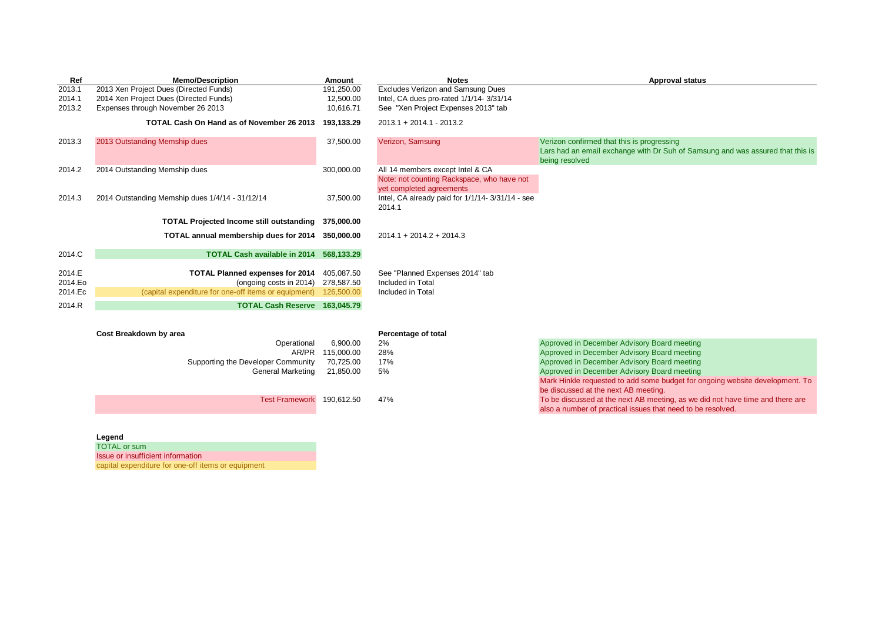| Ref                | <b>Memo/Description</b>                                                         | Amount                   | <b>Notes</b>                                                           | <b>Approval status</b>                                                                                                                         |
|--------------------|---------------------------------------------------------------------------------|--------------------------|------------------------------------------------------------------------|------------------------------------------------------------------------------------------------------------------------------------------------|
| 2013.1             | 2013 Xen Project Dues (Directed Funds)                                          | 191,250.00               | Excludes Verizon and Samsung Dues                                      |                                                                                                                                                |
| 2014.1             | 2014 Xen Project Dues (Directed Funds)                                          | 12,500.00                | Intel, CA dues pro-rated 1/1/14-3/31/14                                |                                                                                                                                                |
| 2013.2             | Expenses through November 26 2013                                               | 10,616.71                | See "Xen Project Expenses 2013" tab                                    |                                                                                                                                                |
|                    | TOTAL Cash On Hand as of November 26 2013                                       | 193.133.29               | 2013.1 + 2014.1 - 2013.2                                               |                                                                                                                                                |
| 2013.3             | 2013 Outstanding Memship dues                                                   | 37,500.00                | Verizon, Samsung                                                       | Verizon confirmed that this is progressing<br>Lars had an email exchange with Dr Suh of Samsung and was assured that this is<br>being resolved |
| 2014.2             | 2014 Outstanding Memship dues                                                   | 300,000.00               | All 14 members except Intel & CA                                       |                                                                                                                                                |
|                    |                                                                                 |                          | Note: not counting Rackspace, who have not<br>yet completed agreements |                                                                                                                                                |
| 2014.3             | 2014 Outstanding Memship dues 1/4/14 - 31/12/14                                 | 37,500.00                | Intel, CA already paid for 1/1/14-3/31/14 - see<br>2014.1              |                                                                                                                                                |
|                    | TOTAL Projected Income still outstanding 375,000.00                             |                          |                                                                        |                                                                                                                                                |
|                    | TOTAL annual membership dues for 2014 350,000.00                                |                          | $2014.1 + 2014.2 + 2014.3$                                             |                                                                                                                                                |
| 2014.C             | TOTAL Cash available in 2014 568,133.29                                         |                          |                                                                        |                                                                                                                                                |
|                    |                                                                                 |                          |                                                                        |                                                                                                                                                |
| 2014.E             | <b>TOTAL Planned expenses for 2014</b>                                          | 405,087.50               | See "Planned Expenses 2014" tab<br>Included in Total                   |                                                                                                                                                |
| 2014.Eo<br>2014.Ec | (ongoing costs in 2014)<br>(capital expenditure for one-off items or equipment) | 278,587.50<br>126,500.00 | Included in Total                                                      |                                                                                                                                                |
|                    |                                                                                 |                          |                                                                        |                                                                                                                                                |
| 2014.R             | TOTAL Cash Reserve 163,045.79                                                   |                          |                                                                        |                                                                                                                                                |
|                    |                                                                                 |                          |                                                                        |                                                                                                                                                |
|                    | Cost Breakdown by area                                                          |                          | Percentage of total                                                    |                                                                                                                                                |
|                    | Operational                                                                     | 6,900.00                 | 2%                                                                     | Approved in December Advisory Board meeting                                                                                                    |
|                    | AR/PR                                                                           | 115,000.00               | 28%                                                                    | Approved in December Advisory Board meeting                                                                                                    |
|                    | Supporting the Developer Community                                              | 70,725.00                | 17%                                                                    | Approved in December Advisory Board meeting                                                                                                    |
|                    | <b>General Marketing</b>                                                        | 21,850.00                | 5%                                                                     | Approved in December Advisory Board meeting                                                                                                    |
|                    |                                                                                 |                          |                                                                        | Mark Hinkle requested to add some budget for ongoing website development. To                                                                   |
|                    |                                                                                 |                          |                                                                        | be discussed at the next AB meeting.                                                                                                           |
|                    | Test Framework 190,612.50                                                       |                          | 47%                                                                    | To be discussed at the next AB meeting, as we did not have time and there are                                                                  |

also a number of practical issues that need to be resolved.

**Legend**

TOTAL or sum

Issue or insufficient information

capital expenditure for one-off items or equipment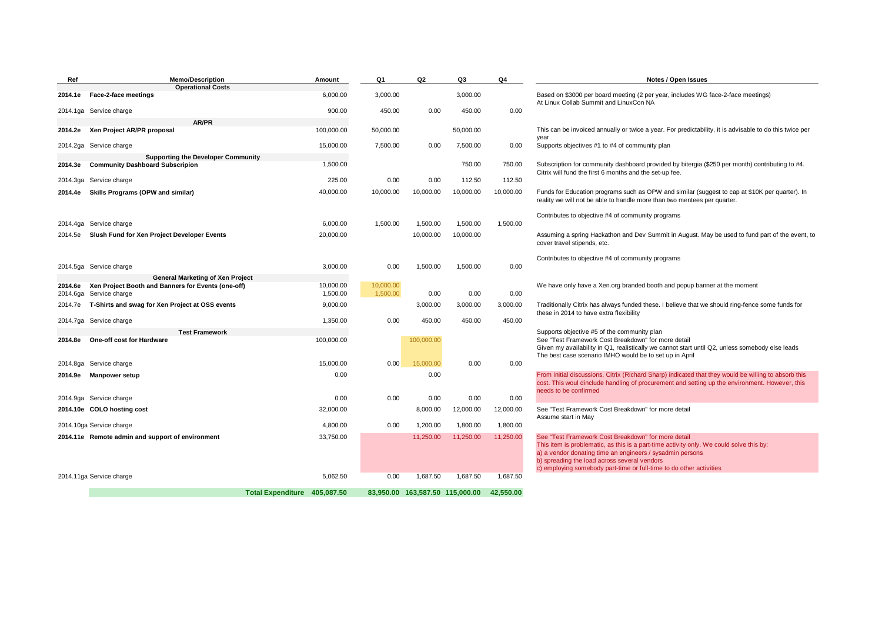| Ref      | <b>Memo/Description</b>                                                             | Amount     | Q1        | Q2         | Q3                    | Q4        | Notes / Open Issues                                                                                                                                                        |
|----------|-------------------------------------------------------------------------------------|------------|-----------|------------|-----------------------|-----------|----------------------------------------------------------------------------------------------------------------------------------------------------------------------------|
| 2014.1e  | <b>Operational Costs</b><br>Face-2-face meetings                                    | 6,000.00   | 3.000.00  |            | 3.000.00              |           | Based on \$3000 per board meeting (2 per year, includes WG face-2-face meetings)                                                                                           |
|          |                                                                                     |            |           |            |                       |           | At Linux Collab Summit and LinuxCon NA                                                                                                                                     |
|          | 2014.1ga Service charge                                                             | 900.00     | 450.00    | 0.00       | 450.00                | 0.00      |                                                                                                                                                                            |
|          | AR/PR                                                                               |            |           |            |                       |           |                                                                                                                                                                            |
| 2014.2e  | Xen Project AR/PR proposal                                                          | 100,000.00 | 50,000.00 |            | 50,000.00             |           | This can be invoiced annually or twice a year. For predictability, it is advisable to do this twice per<br>year                                                            |
|          | 2014.2ga Service charge                                                             | 15,000.00  | 7,500.00  | 0.00       | 7,500.00              | 0.00      | Supports objectives #1 to #4 of community plan                                                                                                                             |
| 2014.3e  | <b>Supporting the Developer Community</b><br><b>Community Dashboard Subscripion</b> | 1,500.00   |           |            | 750.00                | 750.00    | Subscription for community dashboard provided by bitergia (\$250 per month) contributing to #4.                                                                            |
|          |                                                                                     |            |           |            |                       |           | Citrix will fund the first 6 months and the set-up fee.                                                                                                                    |
| 2014.3ga | Service charge                                                                      | 225.00     | 0.00      | 0.00       | 112.50                | 112.50    |                                                                                                                                                                            |
| 2014.4e  | <b>Skills Programs (OPW and similar)</b>                                            | 40,000.00  | 10,000.00 | 10,000.00  | 10,000.00             | 10,000.00 | Funds for Education programs such as OPW and similar (suggest to cap at \$10K per quarter). In<br>reality we will not be able to handle more than two mentees per quarter. |
|          |                                                                                     |            |           |            |                       |           |                                                                                                                                                                            |
|          |                                                                                     |            |           |            |                       |           | Contributes to objective #4 of community programs                                                                                                                          |
|          | 2014.4ga Service charge                                                             | 6,000.00   | 1,500.00  | 1,500.00   | 1,500.00              | 1,500.00  |                                                                                                                                                                            |
| 2014.5e  | Slush Fund for Xen Project Developer Events                                         | 20,000.00  |           | 10,000.00  | 10,000.00             |           | Assuming a spring Hackathon and Dev Summit in August. May be used to fund part of the event, to<br>cover travel stipends, etc.                                             |
|          |                                                                                     |            |           |            |                       |           |                                                                                                                                                                            |
|          | 2014.5ga Service charge                                                             | 3,000.00   | 0.00      | 1,500.00   | 1,500.00              | 0.00      | Contributes to objective #4 of community programs                                                                                                                          |
|          | General Marketing of Xen Project                                                    |            |           |            |                       |           |                                                                                                                                                                            |
| 2014.6e  | Xen Project Booth and Banners for Events (one-off)                                  | 10,000.00  | 10,000.00 |            |                       |           | We have only have a Xen.org branded booth and popup banner at the moment                                                                                                   |
| 2014.6ga | Service charge                                                                      | 1,500.00   | 1,500.00  | 0.00       | 0.00                  | 0.00      |                                                                                                                                                                            |
| 2014.7e  | T-Shirts and swag for Xen Project at OSS events                                     | 9,000.00   |           | 3,000.00   | 3,000.00              | 3,000.00  | Traditionally Citrix has always funded these. I believe that we should ring-fence some funds for<br>these in 2014 to have extra flexibility                                |
| 2014.7ga | Service charge                                                                      | 1,350.00   | 0.00      | 450.00     | 450.00                | 450.00    |                                                                                                                                                                            |
|          | <b>Test Framework</b>                                                               |            |           |            |                       |           | Supports objective #5 of the community plan                                                                                                                                |
| 2014.8e  | <b>One-off cost for Hardware</b>                                                    | 100,000.00 |           | 100,000.00 |                       |           | See "Test Framework Cost Breakdown" for more detail<br>Given my availability in Q1, realistically we cannot start until Q2, unless somebody else leads                     |
|          |                                                                                     |            |           |            |                       |           | The best case scenario IMHO would be to set up in April                                                                                                                    |
|          | 2014.8ga Service charge                                                             | 15,000.00  | 0.00      | 15,000.00  | 0.00                  | 0.00      |                                                                                                                                                                            |
| 2014.9e  | <b>Manpower setup</b>                                                               | 0.00       |           | 0.00       |                       |           | From initial discussions, Citrix (Richard Sharp) indicated that they would be willing to absorb this                                                                       |
|          |                                                                                     |            |           |            |                       |           | cost. This woul dinclude handling of procurement and setting up the environment. However, this<br>needs to be confirmed                                                    |
|          | 2014.9ga Service charge                                                             | 0.00       | 0.00      | 0.00       | 0.00                  | 0.00      |                                                                                                                                                                            |
|          | 2014.10e COLO hosting cost                                                          | 32,000.00  |           | 8,000.00   | 12,000.00             | 12,000.00 | See "Test Framework Cost Breakdown" for more detail                                                                                                                        |
|          | 2014.10ga Service charge                                                            | 4,800.00   | 0.00      | 1,200.00   | 1,800.00              | 1,800.00  | Assume start in May                                                                                                                                                        |
|          | 2014.11e Remote admin and support of environment                                    | 33,750.00  |           | 11,250.00  | 11,250.00             | 11,250.00 | See "Test Framework Cost Breakdown" for more detail                                                                                                                        |
|          |                                                                                     |            |           |            |                       |           | This item is problematic, as this is a part-time activity only. We could solve this by:                                                                                    |
|          |                                                                                     |            |           |            |                       |           | a) a vendor donating time an engineers / sysadmin persons<br>b) spreading the load across several vendors                                                                  |
|          |                                                                                     |            |           |            |                       |           | c) employing somebody part-time or full-time to do other activities                                                                                                        |
|          | 2014.11ga Service charge                                                            | 5,062.50   | 0.00      | 1,687.50   | 1,687.50              | 1,687.50  |                                                                                                                                                                            |
|          | Total Expenditure 405,087.50                                                        |            | 83.950.00 |            | 163.587.50 115.000.00 | 42.550.00 |                                                                                                                                                                            |